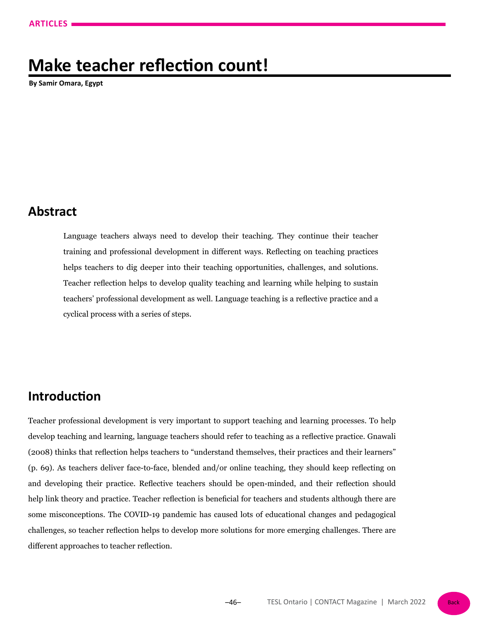# **Make teacher reflection count!**

**By Samir Omara, Egypt**

#### **Abstract**

Language teachers always need to develop their teaching. They continue their teacher training and professional development in different ways. Reflecting on teaching practices helps teachers to dig deeper into their teaching opportunities, challenges, and solutions. Teacher reflection helps to develop quality teaching and learning while helping to sustain teachers' professional development as well. Language teaching is a reflective practice and a cyclical process with a series of steps.

#### **Introduction**

Teacher professional development is very important to support teaching and learning processes. To help develop teaching and learning, language teachers should refer to teaching as a reflective practice. Gnawali (2008) thinks that reflection helps teachers to "understand themselves, their practices and their learners" (p. 69). As teachers deliver face-to-face, blended and/or online teaching, they should keep reflecting on and developing their practice. Reflective teachers should be open-minded, and their reflection should help link theory and practice. Teacher reflection is beneficial for teachers and students although there are some misconceptions. The COVID-19 pandemic has caused lots of educational changes and pedagogical challenges, so teacher reflection helps to develop more solutions for more emerging challenges. There are different approaches to teacher reflection.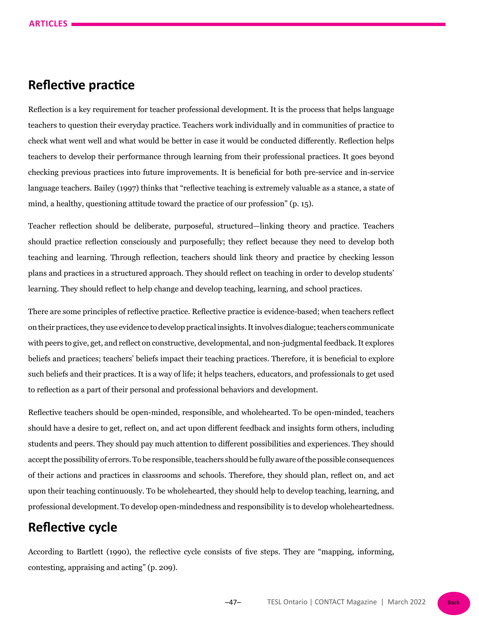#### **Reflective practice**

Reflection is a key requirement for teacher professional development. It is the process that helps language teachers to question their everyday practice. Teachers work individually and in communities of practice to check what went well and what would be better in case it would be conducted differently. Reflection helps teachers to develop their performance through learning from their professional practices. It goes beyond checking previous practices into future improvements. It is beneficial for both pre-service and in-service language teachers. Bailey (1997) thinks that "reflective teaching is extremely valuable as a stance, a state of mind, a healthy, questioning attitude toward the practice of our profession" (p. 15).

Teacher reflection should be deliberate, purposeful, structured—linking theory and practice. Teachers should practice reflection consciously and purposefully; they reflect because they need to develop both teaching and learning. Through reflection, teachers should link theory and practice by checking lesson plans and practices in a structured approach. They should reflect on teaching in order to develop students' learning. They should reflect to help change and develop teaching, learning, and school practices.

There are some principles of reflective practice. Reflective practice is evidence-based; when teachers reflect on their practices, they use evidence to develop practical insights. It involves dialogue; teachers communicate with peers to give, get, and reflect on constructive, developmental, and non-judgmental feedback. It explores beliefs and practices; teachers' beliefs impact their teaching practices. Therefore, it is beneficial to explore such beliefs and their practices. It is a way of life; it helps teachers, educators, and professionals to get used to reflection as a part of their personal and professional behaviors and development.

Reflective teachers should be open-minded, responsible, and wholehearted. To be open-minded, teachers should have a desire to get, reflect on, and act upon different feedback and insights form others, including students and peers. They should pay much attention to different possibilities and experiences. They should accept the possibility of errors. To be responsible, teachers should be fully aware of the possible consequences of their actions and practices in classrooms and schools. Therefore, they should plan, reflect on, and act upon their teaching continuously. To be wholehearted, they should help to develop teaching, learning, and professional development. To develop open-mindedness and responsibility is to develop wholeheartedness.

#### **Reflective cycle**

According to Bartlett (1990), the reflective cycle consists of five steps. They are "mapping, informing, contesting, appraising and acting" (p. 209).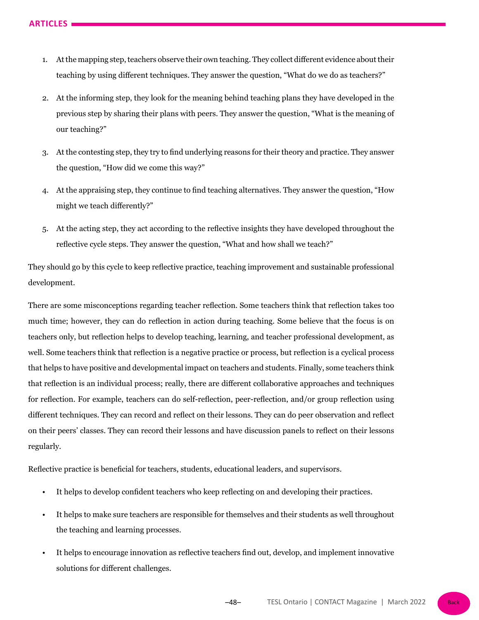- 1. At the mapping step, teachers observe their own teaching. They collect different evidence about their teaching by using different techniques. They answer the question, "What do we do as teachers?"
- 2. At the informing step, they look for the meaning behind teaching plans they have developed in the previous step by sharing their plans with peers. They answer the question, "What is the meaning of our teaching?"
- 3. At the contesting step, they try to find underlying reasons for their theory and practice. They answer the question, "How did we come this way?"
- 4. At the appraising step, they continue to find teaching alternatives. They answer the question, "How might we teach differently?"
- 5. At the acting step, they act according to the reflective insights they have developed throughout the reflective cycle steps. They answer the question, "What and how shall we teach?"

They should go by this cycle to keep reflective practice, teaching improvement and sustainable professional development.

There are some misconceptions regarding teacher reflection. Some teachers think that reflection takes too much time; however, they can do reflection in action during teaching. Some believe that the focus is on teachers only, but reflection helps to develop teaching, learning, and teacher professional development, as well. Some teachers think that reflection is a negative practice or process, but reflection is a cyclical process that helps to have positive and developmental impact on teachers and students. Finally, some teachers think that reflection is an individual process; really, there are different collaborative approaches and techniques for reflection. For example, teachers can do self-reflection, peer-reflection, and/or group reflection using different techniques. They can record and reflect on their lessons. They can do peer observation and reflect on their peers' classes. They can record their lessons and have discussion panels to reflect on their lessons regularly.

Reflective practice is beneficial for teachers, students, educational leaders, and supervisors.

- It helps to develop confident teachers who keep reflecting on and developing their practices.
- It helps to make sure teachers are responsible for themselves and their students as well throughout the teaching and learning processes.
- It helps to encourage innovation as reflective teachers find out, develop, and implement innovative solutions for different challenges.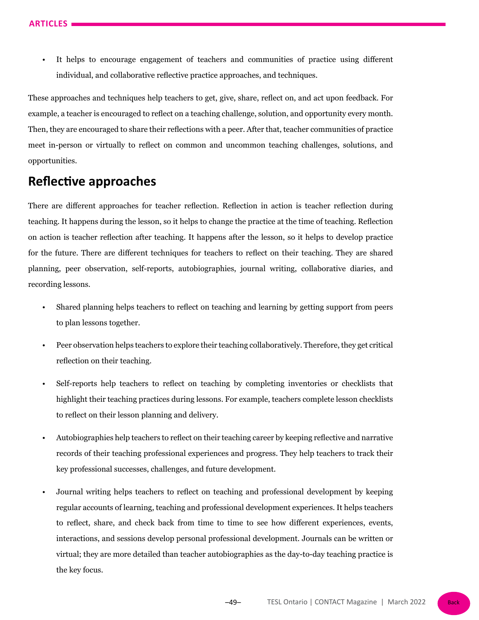It helps to encourage engagement of teachers and communities of practice using different individual, and collaborative reflective practice approaches, and techniques.

These approaches and techniques help teachers to get, give, share, reflect on, and act upon feedback. For example, a teacher is encouraged to reflect on a teaching challenge, solution, and opportunity every month. Then, they are encouraged to share their reflections with a peer. After that, teacher communities of practice meet in-person or virtually to reflect on common and uncommon teaching challenges, solutions, and opportunities.

# **Reflective approaches**

There are different approaches for teacher reflection. Reflection in action is teacher reflection during teaching. It happens during the lesson, so it helps to change the practice at the time of teaching. Reflection on action is teacher reflection after teaching. It happens after the lesson, so it helps to develop practice for the future. There are different techniques for teachers to reflect on their teaching. They are shared planning, peer observation, self-reports, autobiographies, journal writing, collaborative diaries, and recording lessons.

- Shared planning helps teachers to reflect on teaching and learning by getting support from peers to plan lessons together.
- Peer observation helps teachers to explore their teaching collaboratively. Therefore, they get critical reflection on their teaching.
- Self-reports help teachers to reflect on teaching by completing inventories or checklists that highlight their teaching practices during lessons. For example, teachers complete lesson checklists to reflect on their lesson planning and delivery.
- Autobiographies help teachers to reflect on their teaching career by keeping reflective and narrative records of their teaching professional experiences and progress. They help teachers to track their key professional successes, challenges, and future development.
- Journal writing helps teachers to reflect on teaching and professional development by keeping regular accounts of learning, teaching and professional development experiences. It helps teachers to reflect, share, and check back from time to time to see how different experiences, events, interactions, and sessions develop personal professional development. Journals can be written or virtual; they are more detailed than teacher autobiographies as the day-to-day teaching practice is the key focus.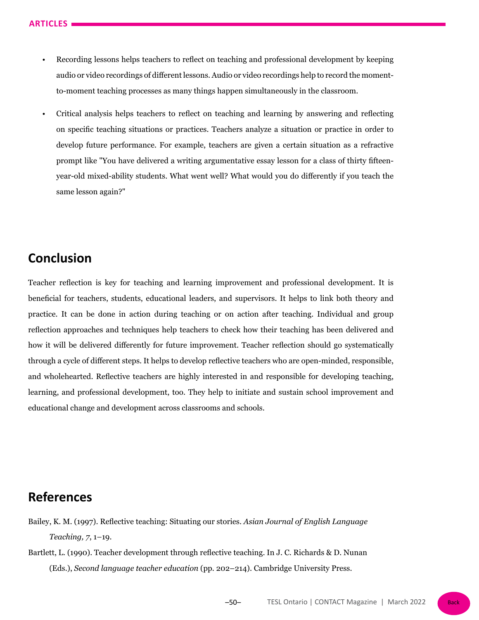- Recording lessons helps teachers to reflect on teaching and professional development by keeping audio or video recordings of different lessons. Audio or video recordings help to record the momentto-moment teaching processes as many things happen simultaneously in the classroom.
- Critical analysis helps teachers to reflect on teaching and learning by answering and reflecting on specific teaching situations or practices. Teachers analyze a situation or practice in order to develop future performance. For example, teachers are given a certain situation as a refractive prompt like "You have delivered a writing argumentative essay lesson for a class of thirty fifteenyear-old mixed-ability students. What went well? What would you do differently if you teach the same lesson again?"

## **Conclusion**

Teacher reflection is key for teaching and learning improvement and professional development. It is beneficial for teachers, students, educational leaders, and supervisors. It helps to link both theory and practice. It can be done in action during teaching or on action after teaching. Individual and group reflection approaches and techniques help teachers to check how their teaching has been delivered and how it will be delivered differently for future improvement. Teacher reflection should go systematically through a cycle of different steps. It helps to develop reflective teachers who are open-minded, responsible, and wholehearted. Reflective teachers are highly interested in and responsible for developing teaching, learning, and professional development, too. They help to initiate and sustain school improvement and educational change and development across classrooms and schools.

## **References**

- Bailey, K. M. (1997). Reflective teaching: Situating our stories. *Asian Journal of English Language Teaching, 7*, 1–19.
- Bartlett, L. (1990). Teacher development through reflective teaching. In J. C. Richards & D. Nunan (Eds.), *Second language teacher education* (pp. 202–214). Cambridge University Press.